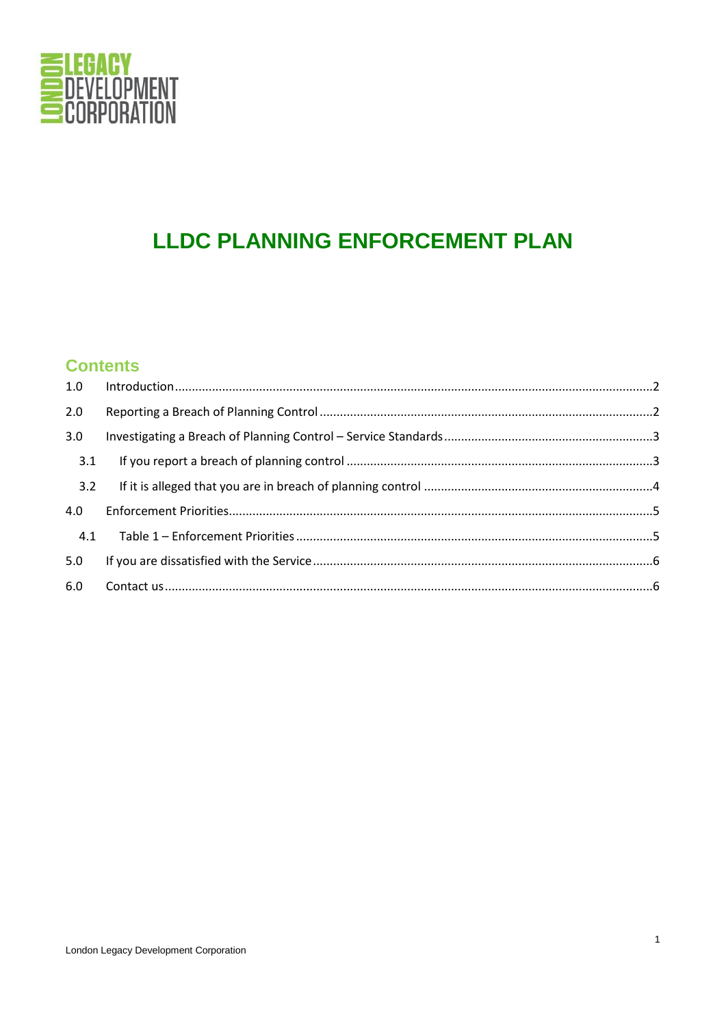

# **LLDC PLANNING ENFORCEMENT PLAN**

# **Contents**

| 1.0 |  |  |
|-----|--|--|
| 2.0 |  |  |
| 3.0 |  |  |
| 3.1 |  |  |
| 3.2 |  |  |
| 4.0 |  |  |
| 4.1 |  |  |
| 5.0 |  |  |
| 6.0 |  |  |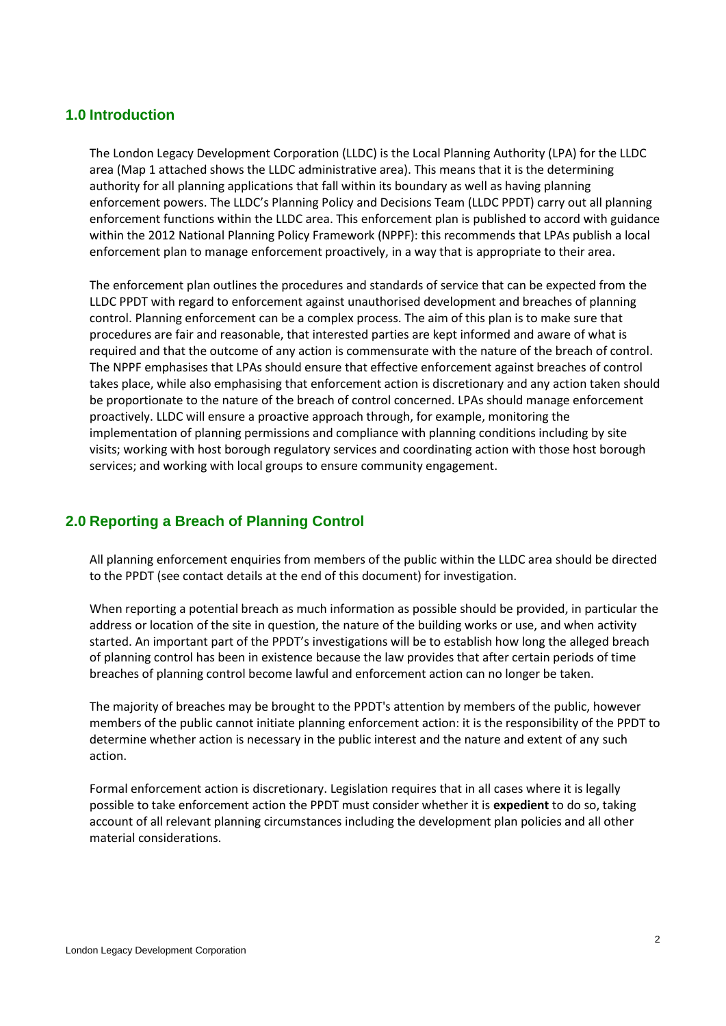#### <span id="page-1-0"></span>**1.0 Introduction**

The London Legacy Development Corporation (LLDC) is the Local Planning Authority (LPA) for the LLDC area (Map 1 attached shows the LLDC administrative area). This means that it is the determining authority for all planning applications that fall within its boundary as well as having planning enforcement powers. The LLDC's Planning Policy and Decisions Team (LLDC PPDT) carry out all planning enforcement functions within the LLDC area. This enforcement plan is published to accord with guidance within the 2012 National Planning Policy Framework (NPPF): this recommends that LPAs publish a local enforcement plan to manage enforcement proactively, in a way that is appropriate to their area.

The enforcement plan outlines the procedures and standards of service that can be expected from the LLDC PPDT with regard to enforcement against unauthorised development and breaches of planning control. Planning enforcement can be a complex process. The aim of this plan is to make sure that procedures are fair and reasonable, that interested parties are kept informed and aware of what is required and that the outcome of any action is commensurate with the nature of the breach of control. The NPPF emphasises that LPAs should ensure that effective enforcement against breaches of control takes place, while also emphasising that enforcement action is discretionary and any action taken should be proportionate to the nature of the breach of control concerned. LPAs should manage enforcement proactively. LLDC will ensure a proactive approach through, for example, monitoring the implementation of planning permissions and compliance with planning conditions including by site visits; working with host borough regulatory services and coordinating action with those host borough services; and working with local groups to ensure community engagement.

## <span id="page-1-1"></span>**2.0 Reporting a Breach of Planning Control**

All planning enforcement enquiries from members of the public within the LLDC area should be directed to the PPDT (see contact details at the end of this document) for investigation.

When reporting a potential breach as much information as possible should be provided, in particular the address or location of the site in question, the nature of the building works or use, and when activity started. An important part of the PPDT's investigations will be to establish how long the alleged breach of planning control has been in existence because the law provides that after certain periods of time breaches of planning control become lawful and enforcement action can no longer be taken.

The majority of breaches may be brought to the PPDT's attention by members of the public, however members of the public cannot initiate planning enforcement action: it is the responsibility of the PPDT to determine whether action is necessary in the public interest and the nature and extent of any such action.

Formal enforcement action is discretionary. Legislation requires that in all cases where it is legally possible to take enforcement action the PPDT must consider whether it is **expedient** to do so, taking account of all relevant planning circumstances including the development plan policies and all other material considerations.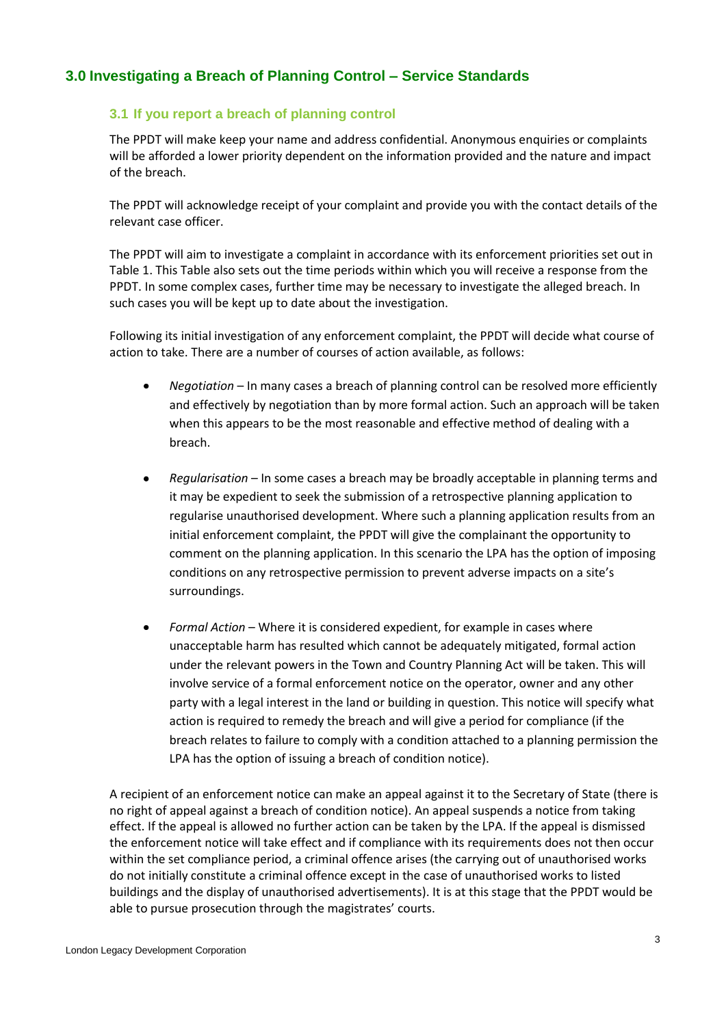## <span id="page-2-1"></span><span id="page-2-0"></span>**3.0 Investigating a Breach of Planning Control – Service Standards**

#### **3.1 If you report a breach of planning control**

The PPDT will make keep your name and address confidential. Anonymous enquiries or complaints will be afforded a lower priority dependent on the information provided and the nature and impact of the breach.

The PPDT will acknowledge receipt of your complaint and provide you with the contact details of the relevant case officer.

The PPDT will aim to investigate a complaint in accordance with its enforcement priorities set out in Table 1. This Table also sets out the time periods within which you will receive a response from the PPDT. In some complex cases, further time may be necessary to investigate the alleged breach. In such cases you will be kept up to date about the investigation.

Following its initial investigation of any enforcement complaint, the PPDT will decide what course of action to take. There are a number of courses of action available, as follows:

- *Negotiation*  In many cases a breach of planning control can be resolved more efficiently and effectively by negotiation than by more formal action. Such an approach will be taken when this appears to be the most reasonable and effective method of dealing with a breach.
- *Regularisation*  In some cases a breach may be broadly acceptable in planning terms and it may be expedient to seek the submission of a retrospective planning application to regularise unauthorised development. Where such a planning application results from an initial enforcement complaint, the PPDT will give the complainant the opportunity to comment on the planning application. In this scenario the LPA has the option of imposing conditions on any retrospective permission to prevent adverse impacts on a site's surroundings.
- *Formal Action*  Where it is considered expedient, for example in cases where unacceptable harm has resulted which cannot be adequately mitigated, formal action under the relevant powers in the Town and Country Planning Act will be taken. This will involve service of a formal enforcement notice on the operator, owner and any other party with a legal interest in the land or building in question. This notice will specify what action is required to remedy the breach and will give a period for compliance (if the breach relates to failure to comply with a condition attached to a planning permission the LPA has the option of issuing a breach of condition notice).

A recipient of an enforcement notice can make an appeal against it to the Secretary of State (there is no right of appeal against a breach of condition notice). An appeal suspends a notice from taking effect. If the appeal is allowed no further action can be taken by the LPA. If the appeal is dismissed the enforcement notice will take effect and if compliance with its requirements does not then occur within the set compliance period, a criminal offence arises (the carrying out of unauthorised works do not initially constitute a criminal offence except in the case of unauthorised works to listed buildings and the display of unauthorised advertisements). It is at this stage that the PPDT would be able to pursue prosecution through the magistrates' courts.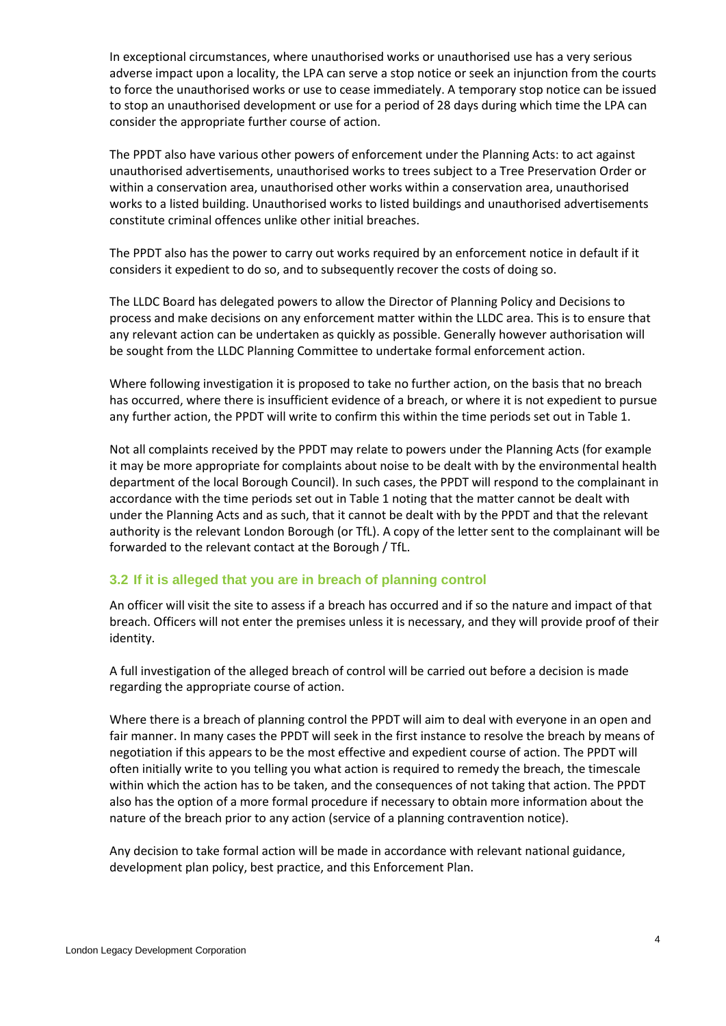In exceptional circumstances, where unauthorised works or unauthorised use has a very serious adverse impact upon a locality, the LPA can serve a stop notice or seek an injunction from the courts to force the unauthorised works or use to cease immediately. A temporary stop notice can be issued to stop an unauthorised development or use for a period of 28 days during which time the LPA can consider the appropriate further course of action.

The PPDT also have various other powers of enforcement under the Planning Acts: to act against unauthorised advertisements, unauthorised works to trees subject to a Tree Preservation Order or within a conservation area, unauthorised other works within a conservation area, unauthorised works to a listed building. Unauthorised works to listed buildings and unauthorised advertisements constitute criminal offences unlike other initial breaches.

The PPDT also has the power to carry out works required by an enforcement notice in default if it considers it expedient to do so, and to subsequently recover the costs of doing so.

The LLDC Board has delegated powers to allow the Director of Planning Policy and Decisions to process and make decisions on any enforcement matter within the LLDC area. This is to ensure that any relevant action can be undertaken as quickly as possible. Generally however authorisation will be sought from the LLDC Planning Committee to undertake formal enforcement action.

Where following investigation it is proposed to take no further action, on the basis that no breach has occurred, where there is insufficient evidence of a breach, or where it is not expedient to pursue any further action, the PPDT will write to confirm this within the time periods set out in Table 1.

Not all complaints received by the PPDT may relate to powers under the Planning Acts (for example it may be more appropriate for complaints about noise to be dealt with by the environmental health department of the local Borough Council). In such cases, the PPDT will respond to the complainant in accordance with the time periods set out in Table 1 noting that the matter cannot be dealt with under the Planning Acts and as such, that it cannot be dealt with by the PPDT and that the relevant authority is the relevant London Borough (or TfL). A copy of the letter sent to the complainant will be forwarded to the relevant contact at the Borough / TfL.

#### <span id="page-3-0"></span>**3.2 If it is alleged that you are in breach of planning control**

An officer will visit the site to assess if a breach has occurred and if so the nature and impact of that breach. Officers will not enter the premises unless it is necessary, and they will provide proof of their identity.

A full investigation of the alleged breach of control will be carried out before a decision is made regarding the appropriate course of action.

Where there is a breach of planning control the PPDT will aim to deal with everyone in an open and fair manner. In many cases the PPDT will seek in the first instance to resolve the breach by means of negotiation if this appears to be the most effective and expedient course of action. The PPDT will often initially write to you telling you what action is required to remedy the breach, the timescale within which the action has to be taken, and the consequences of not taking that action. The PPDT also has the option of a more formal procedure if necessary to obtain more information about the nature of the breach prior to any action (service of a planning contravention notice).

Any decision to take formal action will be made in accordance with relevant national guidance, development plan policy, best practice, and this Enforcement Plan.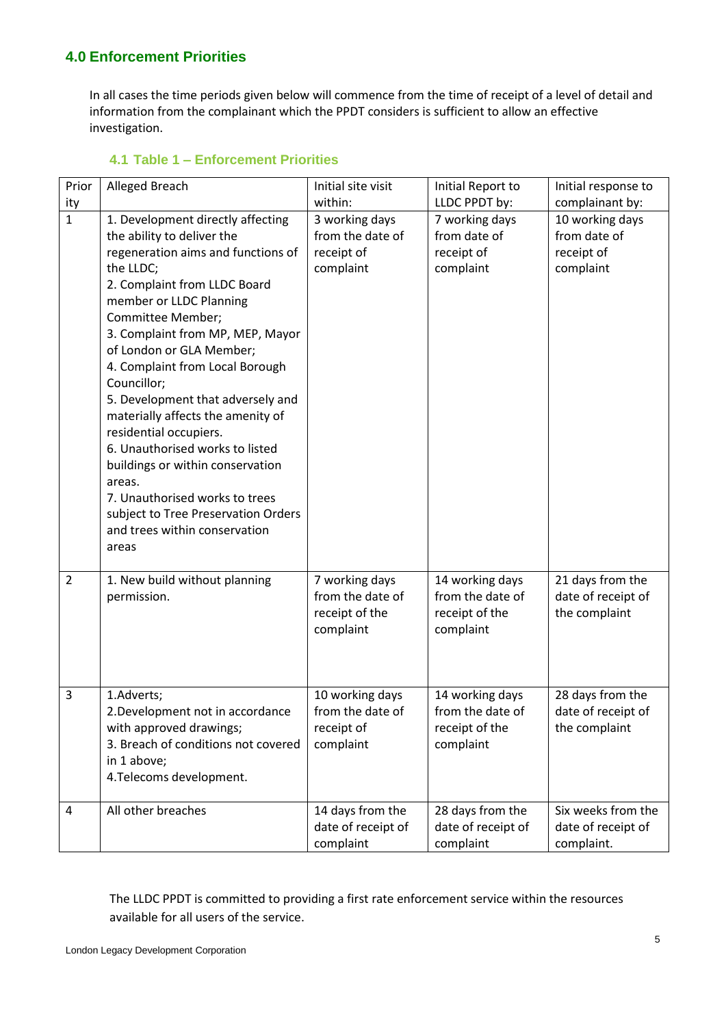## <span id="page-4-0"></span>**4.0 Enforcement Priorities**

In all cases the time periods given below will commence from the time of receipt of a level of detail and information from the complainant which the PPDT considers is sufficient to allow an effective investigation.

<span id="page-4-1"></span>

| Prior          | Alleged Breach                                                                                                                                                                                                                                                                                                                                                                                                                                                                                                                                                                                                               | Initial site visit                                                | Initial Report to                                                  | Initial response to                                        |
|----------------|------------------------------------------------------------------------------------------------------------------------------------------------------------------------------------------------------------------------------------------------------------------------------------------------------------------------------------------------------------------------------------------------------------------------------------------------------------------------------------------------------------------------------------------------------------------------------------------------------------------------------|-------------------------------------------------------------------|--------------------------------------------------------------------|------------------------------------------------------------|
| ity            |                                                                                                                                                                                                                                                                                                                                                                                                                                                                                                                                                                                                                              | within:                                                           | LLDC PPDT by:                                                      | complainant by:                                            |
| $\overline{1}$ | 1. Development directly affecting<br>the ability to deliver the<br>regeneration aims and functions of<br>the LLDC;<br>2. Complaint from LLDC Board<br>member or LLDC Planning<br>Committee Member;<br>3. Complaint from MP, MEP, Mayor<br>of London or GLA Member;<br>4. Complaint from Local Borough<br>Councillor;<br>5. Development that adversely and<br>materially affects the amenity of<br>residential occupiers.<br>6. Unauthorised works to listed<br>buildings or within conservation<br>areas.<br>7. Unauthorised works to trees<br>subject to Tree Preservation Orders<br>and trees within conservation<br>areas | 3 working days<br>from the date of<br>receipt of<br>complaint     | 7 working days<br>from date of<br>receipt of<br>complaint          | 10 working days<br>from date of<br>receipt of<br>complaint |
| $\overline{2}$ | 1. New build without planning<br>permission.                                                                                                                                                                                                                                                                                                                                                                                                                                                                                                                                                                                 | 7 working days<br>from the date of<br>receipt of the<br>complaint | 14 working days<br>from the date of<br>receipt of the<br>complaint | 21 days from the<br>date of receipt of<br>the complaint    |
| 3              | 1.Adverts;<br>2. Development not in accordance<br>with approved drawings;<br>3. Breach of conditions not covered<br>in 1 above;<br>4. Telecoms development.                                                                                                                                                                                                                                                                                                                                                                                                                                                                  | 10 working days<br>from the date of<br>receipt of<br>complaint    | 14 working days<br>from the date of<br>receipt of the<br>complaint | 28 days from the<br>date of receipt of<br>the complaint    |
| 4              | All other breaches                                                                                                                                                                                                                                                                                                                                                                                                                                                                                                                                                                                                           | 14 days from the<br>date of receipt of                            | 28 days from the<br>date of receipt of                             | Six weeks from the<br>date of receipt of                   |

## **4.1 Table 1 – Enforcement Priorities**

The LLDC PPDT is committed to providing a first rate enforcement service within the resources available for all users of the service.

complaint

complaint

complaint.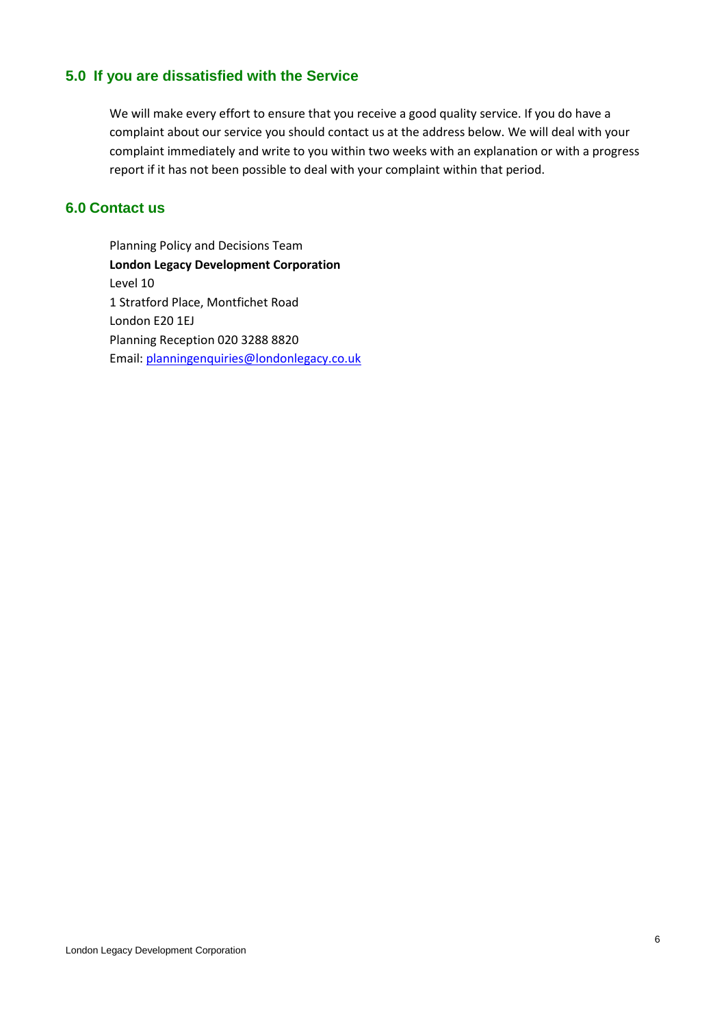## <span id="page-5-0"></span>**5.0 If you are dissatisfied with the Service**

We will make every effort to ensure that you receive a good quality service. If you do have a complaint about our service you should contact us at the address below. We will deal with your complaint immediately and write to you within two weeks with an explanation or with a progress report if it has not been possible to deal with your complaint within that period.

#### <span id="page-5-1"></span>**6.0 Contact us**

Planning Policy and Decisions Team **London Legacy Development Corporation** Level 10 1 Stratford Place, Montfichet Road London E20 1EJ Planning Reception 020 3288 8820 Email: [planningenquiries@londonlegacy.co.uk](mailto:planningenquiries@londonlegacy.co.uk)